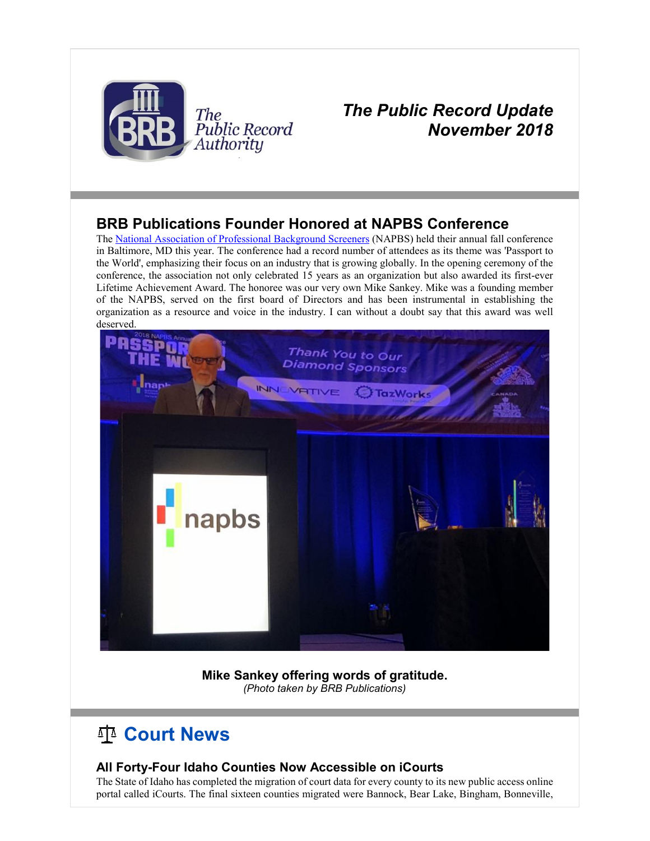

## *The Public Record Update November 2018*

## **BRB Publications Founder Honored at NAPBS Conference**

The [National Association of Professional Background Screeners](http://r20.rs6.net/tn.jsp?f=001eCnhnwQjq_HcoPq_hWS0V0FnwvlC1F1OMT7fhiZs9sErDOF_R-Rx1tOAqgoI7qhP1ynEJ5a6ueHKvoMTF0yHUDAXXWWcgHvwTnbOfM7-vDMx2orGzpZUra0ZjoCz60CwyDzoo7d-bTGBwJ0Iwov0Y_21eVo2GW4rNRq9giPHP50=&c=VFzEi5brevtxgE1z0ZK_Z9GJkMwMJPLw1yX007U6OMsc20pvaPjTig==&ch=UI_DqQyRFo8osO9TJp0GDf0V5NJrvHNzg9QYQbMoI0N4ewwmYo7E_w==) (NAPBS) held their annual fall conference in Baltimore, MD this year. The conference had a record number of attendees as its theme was 'Passport to the World', emphasizing their focus on an industry that is growing globally. In the opening ceremony of the conference, the association not only celebrated 15 years as an organization but also awarded its first-ever Lifetime Achievement Award. The honoree was our very own Mike Sankey. Mike was a founding member of the NAPBS, served on the first board of Directors and has been instrumental in establishing the organization as a resource and voice in the industry. I can without a doubt say that this award was well deserved.



**Mike Sankey offering words of gratitude.** *(Photo taken by BRB Publications)*

# **Court News**

### **All Forty-Four Idaho Counties Now Accessible on iCourts**

The State of Idaho has completed the migration of court data for every county to its new public access online portal called iCourts. The final sixteen counties migrated were Bannock, Bear Lake, Bingham, Bonneville,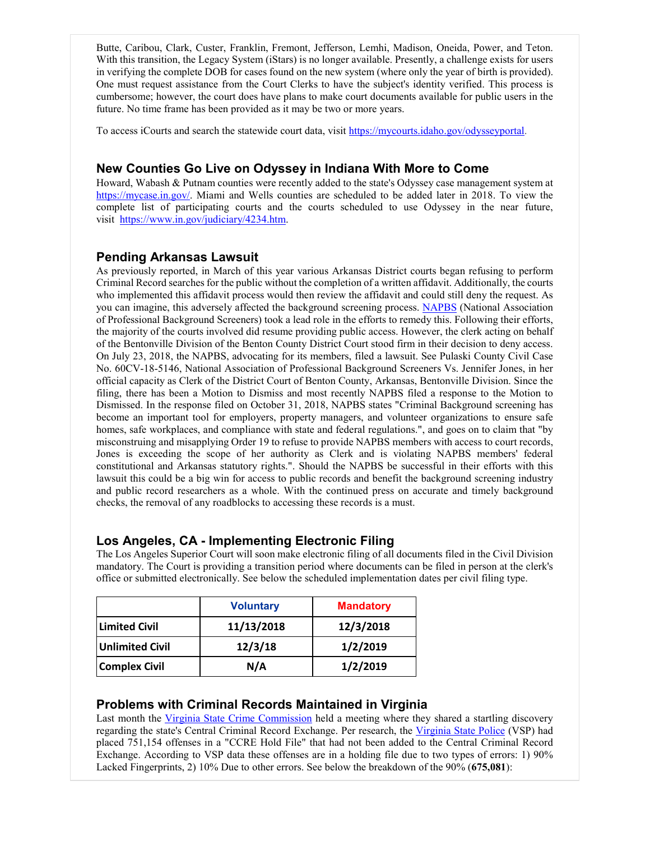Butte, Caribou, Clark, Custer, Franklin, Fremont, Jefferson, Lemhi, Madison, Oneida, Power, and Teton. With this transition, the Legacy System (iStars) is no longer available. Presently, a challenge exists for users in verifying the complete DOB for cases found on the new system (where only the year of birth is provided). One must request assistance from the Court Clerks to have the subject's identity verified. This process is cumbersome; however, the court does have plans to make court documents available for public users in the future. No time frame has been provided as it may be two or more years.

To access iCourts and search the statewide court data, visit [https://mycourts.idaho.gov/odysseyportal.](http://r20.rs6.net/tn.jsp?f=001eCnhnwQjq_HcoPq_hWS0V0FnwvlC1F1OMT7fhiZs9sErDOF_R-Rx1pSz7OkEgoP8QVqh0s2bwZ4esMsk_D7TGBYwcf_CrHXc1b9sFdoqHzN21sDg6SaZrtWshM5FrT7OEU0_mycwVgCFAtApBePQWgBzBBxFmdDtGKQ4HoKCa2JZ56Tq4rlSzAFVT6I2pBuL&c=VFzEi5brevtxgE1z0ZK_Z9GJkMwMJPLw1yX007U6OMsc20pvaPjTig==&ch=UI_DqQyRFo8osO9TJp0GDf0V5NJrvHNzg9QYQbMoI0N4ewwmYo7E_w==)

### **New Counties Go Live on Odyssey in Indiana With More to Come**

Howard, Wabash & Putnam counties were recently added to the state's Odyssey case management system at [https://mycase.in.gov/.](http://r20.rs6.net/tn.jsp?f=001eCnhnwQjq_HcoPq_hWS0V0FnwvlC1F1OMT7fhiZs9sErDOF_R-Rx1tOAqgoI7qhPBwcYOq3XwFb7CfwoHQ3Oc9YNtlmDnLIubwRqsIUGSORms256EKv-vdzOCJ2kQfUEz8j_uROwxMlWsW20ow_nbA_-TMkcAEKnolQ3StZV3eQ=&c=VFzEi5brevtxgE1z0ZK_Z9GJkMwMJPLw1yX007U6OMsc20pvaPjTig==&ch=UI_DqQyRFo8osO9TJp0GDf0V5NJrvHNzg9QYQbMoI0N4ewwmYo7E_w==) Miami and Wells counties are scheduled to be added later in 2018. To view the complete list of participating courts and the courts scheduled to use Odyssey in the near future, visit [https://www.in.gov/judiciary/4234.htm.](http://r20.rs6.net/tn.jsp?f=001eCnhnwQjq_HcoPq_hWS0V0FnwvlC1F1OMT7fhiZs9sErDOF_R-Rx1tOAqgoI7qhPNOLBJZPS4xzZp4iBIyM48hJVKo1NNa9gNkxObp7HD9yovodBjzrL8-YyHyRCVdrwDGqqX4un0LLi_Mkoe71Je1XTKG5GIBJtkIGd6pL2K5eghH4tlS9DYHd22OkTSDKZ&c=VFzEi5brevtxgE1z0ZK_Z9GJkMwMJPLw1yX007U6OMsc20pvaPjTig==&ch=UI_DqQyRFo8osO9TJp0GDf0V5NJrvHNzg9QYQbMoI0N4ewwmYo7E_w==)

#### **Pending Arkansas Lawsuit**

As previously reported, in March of this year various Arkansas District courts began refusing to perform Criminal Record searches for the public without the completion of a written affidavit. Additionally, the courts who implemented this affidavit process would then review the affidavit and could still deny the request. As you can imagine, this adversely affected the background screening process. [NAPBS](http://r20.rs6.net/tn.jsp?f=001eCnhnwQjq_HcoPq_hWS0V0FnwvlC1F1OMT7fhiZs9sErDOF_R-Rx1tOAqgoI7qhP1ynEJ5a6ueHKvoMTF0yHUDAXXWWcgHvwTnbOfM7-vDMx2orGzpZUra0ZjoCz60CwyDzoo7d-bTGBwJ0Iwov0Y_21eVo2GW4rNRq9giPHP50=&c=VFzEi5brevtxgE1z0ZK_Z9GJkMwMJPLw1yX007U6OMsc20pvaPjTig==&ch=UI_DqQyRFo8osO9TJp0GDf0V5NJrvHNzg9QYQbMoI0N4ewwmYo7E_w==) (National Association of Professional Background Screeners) took a lead role in the efforts to remedy this. Following their efforts, the majority of the courts involved did resume providing public access. However, the clerk acting on behalf of the Bentonville Division of the Benton County District Court stood firm in their decision to deny access. On July 23, 2018, the NAPBS, advocating for its members, filed a lawsuit. See Pulaski County Civil Case No. 60CV-18-5146, National Association of Professional Background Screeners Vs. Jennifer Jones, in her official capacity as Clerk of the District Court of Benton County, Arkansas, Bentonville Division. Since the filing, there has been a Motion to Dismiss and most recently NAPBS filed a response to the Motion to Dismissed. In the response filed on October 31, 2018, NAPBS states "Criminal Background screening has become an important tool for employers, property managers, and volunteer organizations to ensure safe homes, safe workplaces, and compliance with state and federal regulations.", and goes on to claim that "by misconstruing and misapplying Order 19 to refuse to provide NAPBS members with access to court records, Jones is exceeding the scope of her authority as Clerk and is violating NAPBS members' federal constitutional and Arkansas statutory rights.". Should the NAPBS be successful in their efforts with this lawsuit this could be a big win for access to public records and benefit the background screening industry and public record researchers as a whole. With the continued press on accurate and timely background checks, the removal of any roadblocks to accessing these records is a must.

### **Los Angeles, CA - Implementing Electronic Filing**

The Los Angeles Superior Court will soon make electronic filing of all documents filed in the Civil Division mandatory. The Court is providing a transition period where documents can be filed in person at the clerk's office or submitted electronically. See below the scheduled implementation dates per civil filing type.

|                        | <b>Voluntary</b> | <b>Mandatory</b> |
|------------------------|------------------|------------------|
| Limited Civil          | 11/13/2018       | 12/3/2018        |
| <b>Unlimited Civil</b> | 12/3/18          | 1/2/2019         |
| <b>Complex Civil</b>   | N/A              | 1/2/2019         |

#### **Problems with Criminal Records Maintained in Virginia**

Last month the [Virginia State Crime Commission](http://r20.rs6.net/tn.jsp?f=001eCnhnwQjq_HcoPq_hWS0V0FnwvlC1F1OMT7fhiZs9sErDOF_R-Rx1tOAqgoI7qhPpkw-bzMrLz5Lhpi5cJZcvnmcVHOW1TXqlNHw3bhx9t7ziACCpZHIJJu0EHzsgmRL9tpb_x6pn17OrahWOmXZThhf-7HYe_LxAkvB5Ir2J22crUErNM9eWmCV-e4dlECI&c=VFzEi5brevtxgE1z0ZK_Z9GJkMwMJPLw1yX007U6OMsc20pvaPjTig==&ch=UI_DqQyRFo8osO9TJp0GDf0V5NJrvHNzg9QYQbMoI0N4ewwmYo7E_w==) held a meeting where they shared a startling discovery regarding the state's Central Criminal Record Exchange. Per research, the [Virginia State Police](http://r20.rs6.net/tn.jsp?f=001eCnhnwQjq_HcoPq_hWS0V0FnwvlC1F1OMT7fhiZs9sErDOF_R-Rx1tOAqgoI7qhPdriSyuqzNRNF9Z9g4DGfqlkXjvI15xHRf8mKjveCI_EuoKwWyt2B07nSVD441y9R2bqsCPgfLTOl3ZokdS0ej_qjkKy0INdZF4QsbQXOhen6WVGT2MVnhDLVTZ0QYVae&c=VFzEi5brevtxgE1z0ZK_Z9GJkMwMJPLw1yX007U6OMsc20pvaPjTig==&ch=UI_DqQyRFo8osO9TJp0GDf0V5NJrvHNzg9QYQbMoI0N4ewwmYo7E_w==) (VSP) had placed 751,154 offenses in a "CCRE Hold File" that had not been added to the Central Criminal Record Exchange. According to VSP data these offenses are in a holding file due to two types of errors: 1) 90% Lacked Fingerprints, 2) 10% Due to other errors. See below the breakdown of the 90% (**675,081**):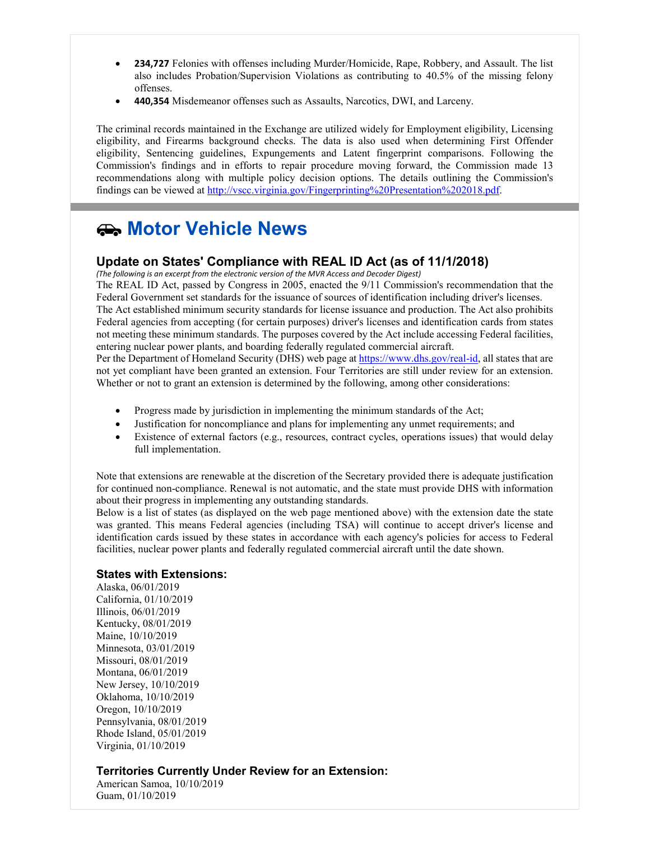- **234,727** Felonies with offenses including Murder/Homicide, Rape, Robbery, and Assault. The list also includes Probation/Supervision Violations as contributing to 40.5% of the missing felony offenses.
- **440,354** Misdemeanor offenses such as Assaults, Narcotics, DWI, and Larceny.

The criminal records maintained in the Exchange are utilized widely for Employment eligibility, Licensing eligibility, and Firearms background checks. The data is also used when determining First Offender eligibility, Sentencing guidelines, Expungements and Latent fingerprint comparisons. Following the Commission's findings and in efforts to repair procedure moving forward, the Commission made 13 recommendations along with multiple policy decision options. The details outlining the Commission's findings can be viewed at [http://vscc.virginia.gov/Fingerprinting%20Presentation%202018.pdf.](http://r20.rs6.net/tn.jsp?f=001eCnhnwQjq_HcoPq_hWS0V0FnwvlC1F1OMT7fhiZs9sErDOF_R-Rx1tOAqgoI7qhPgYZWcZQ_liGbjb2maLVAOzEakLBcL129Gf2yX-dlyZ2MUvilSDV_634tACMu8yz4UvGP_BRtaKYlB3B19374O_T5J_q5E8DGz1rfH8S8PUhRXQa-gnlgay7CyPSCjsE55BBvhLQCt54HpvNuMLPsvyafXkuWCpD3r_XHKNIrZsc=&c=VFzEi5brevtxgE1z0ZK_Z9GJkMwMJPLw1yX007U6OMsc20pvaPjTig==&ch=UI_DqQyRFo8osO9TJp0GDf0V5NJrvHNzg9QYQbMoI0N4ewwmYo7E_w==)

# **Motor Vehicle News**

#### **Update on States' Compliance with REAL ID Act (as of 11/1/2018)**

*(The following is an excerpt from the electronic version of the MVR Access and Decoder Digest)* 

The REAL ID Act, passed by Congress in 2005, enacted the 9/11 Commission's recommendation that the Federal Government set standards for the issuance of sources of identification including driver's licenses. The Act established minimum security standards for license issuance and production. The Act also prohibits Federal agencies from accepting (for certain purposes) driver's licenses and identification cards from states not meeting these minimum standards. The purposes covered by the Act include accessing Federal facilities, entering nuclear power plants, and boarding federally regulated commercial aircraft.

Per the Department of Homeland Security (DHS) web page a[t https://www.dhs.gov/real-id,](http://r20.rs6.net/tn.jsp?f=001eCnhnwQjq_HcoPq_hWS0V0FnwvlC1F1OMT7fhiZs9sErDOF_R-Rx1n5P7PSG9c-BCbw9SqVSC8HqVnXo3y1P8IAGqI0sXNLDg9yd3ar8Qf9z3rtjw1IggH0wXK933A05AayIrPvWj1ubcv7z-eBgVXYWtExYYgen9wMdaE82w7ceaonxdvfEUQ==&c=VFzEi5brevtxgE1z0ZK_Z9GJkMwMJPLw1yX007U6OMsc20pvaPjTig==&ch=UI_DqQyRFo8osO9TJp0GDf0V5NJrvHNzg9QYQbMoI0N4ewwmYo7E_w==) all states that are not yet compliant have been granted an extension. Four Territories are still under review for an extension. Whether or not to grant an extension is determined by the following, among other considerations:

- Progress made by jurisdiction in implementing the minimum standards of the Act;
- Justification for noncompliance and plans for implementing any unmet requirements; and
- Existence of external factors (e.g., resources, contract cycles, operations issues) that would delay full implementation.

Note that extensions are renewable at the discretion of the Secretary provided there is adequate justification for continued non-compliance. Renewal is not automatic, and the state must provide DHS with information about their progress in implementing any outstanding standards.

Below is a list of states (as displayed on the web page mentioned above) with the extension date the state was granted. This means Federal agencies (including TSA) will continue to accept driver's license and identification cards issued by these states in accordance with each agency's policies for access to Federal facilities, nuclear power plants and federally regulated commercial aircraft until the date shown.

#### **States with Extensions:**

Alaska, 06/01/2019 California, 01/10/2019 Illinois, 06/01/2019 Kentucky, 08/01/2019 Maine, 10/10/2019 Minnesota, 03/01/2019 Missouri, 08/01/2019 Montana, 06/01/2019 New Jersey, 10/10/2019 Oklahoma, 10/10/2019 Oregon, 10/10/2019 Pennsylvania, 08/01/2019 Rhode Island, 05/01/2019 Virginia, 01/10/2019

#### **Territories Currently Under Review for an Extension:**

American Samoa, 10/10/2019 Guam, 01/10/2019